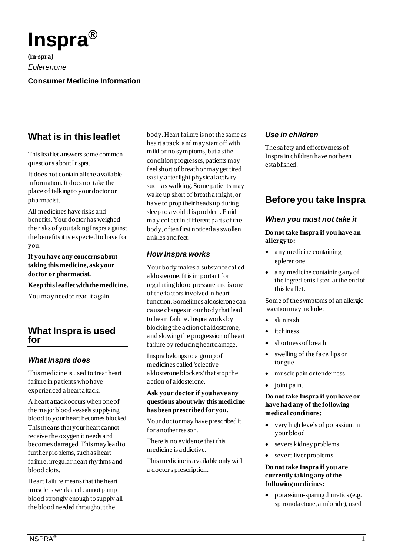

**(in-spra)**

*Eplerenone*

## **Consumer Medicine Information**

# **What is in this leaflet**

This leaflet answers some common questions about Inspra.

It does not contain all the available information. It does not take the place of talking to your doctor or pharmacist.

All medicines have risks and benefits. Your doctor has weighed the risks of you taking Inspra against the benefits it is expected to have for you.

**If you have any concerns about taking this medicine, ask your doctor or pharmacist.**

**Keep this leaflet with the medicine.**

You may need to read it again.

## **What Inspra is used for**

## *What Inspra does*

This medicine is used to treat heart failure in patients who have experienced a heart attack.

A heart attack occurs when one of the major blood vessels supplying blood to your heart becomes blocked. This means that your heart cannot receive the oxygen it needs and becomes damaged. This may lead to further problems, such as heart failure, irregular heart rhythms and blood clots.

Heart failure means that the heart muscle is weak and cannot pump blood strongly enough to supply all the blood needed throughout the

body. Heart failure is not the same as heart attack, and may start off with mild or no symptoms, but as the condition progresses, patients may feel short of breath or may get tired easily after light physical activity such as walking. Some patients may wake up short of breath at night, or have to prop their heads up during sleep to avoid this problem. Fluid may collect in different parts of the body, often first noticed as swollen ankles and feet.

## *How Inspra works*

Your body makes a substance called aldosterone. It is important for regulating blood pressure and is one of the factors involved in heart function. Sometimes aldosterone can cause changes in our body that lead to heart failure. Inspra works by blocking the action of aldosterone, and slowing the progression of heart failure by reducing heart damage.

Inspra belongs to a group of medicines called 'selective aldosterone blockers' that stop the action of aldosterone.

### **Ask your doctor if you have any questions about why this medicine has been prescribed for you.**

Your doctor may have prescribed it for another reason.

There is no evidence that this medicine is addictive.

This medicine is available only with a doctor's prescription.

## *Use in children*

The safety and effectiveness of Inspra in children have not been established.

# **Before you take Inspra**

### *When you must not take it*

### **Do not take Inspra if you have an allergy to:**

- any medicine containing eplerenone
- any medicine containing any of the ingredients listed at the end of this leaflet.

Some of the symptoms of an allergic reaction may include:

- skin rash
- *itchiness*
- shortness of breath
- swelling of the face, lips or tongue
- muscle pain or tenderness
- joint pain.

### **Do not take Inspra if you have or have had any of the following medical conditions:**

- very high levels of potassium in your blood
- severe kidney problems
- severe liver problems.

### **Do not take Inspra if you are currently taking any of the following medicines:**

• potassium-sparing diuretics (e.g. spironolactone, amiloride), used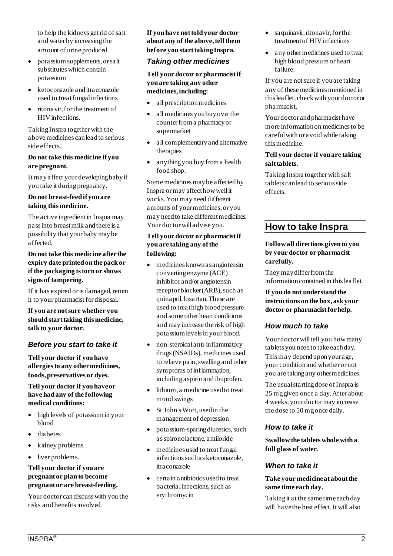to help the kidneys get rid of salt and water by increasing the amount of urine produced

- potassium supplements, or salt substitutes which contain potassium
- ketoconazole and itraconazole used to treat fungal infections
- ritonavir, for the treatment of HIV infections.

Taking Inspra together with the above medicines can lead to serious side effects.

### **Do not take this medicine if you are pregnant.**

It may affect your developing baby if you take it during pregnancy.

### **Do not breast-feed if you are taking this medicine.**

The active ingredient in Inspra may pass into breast milk and there is a possibility that your baby may be affected.

### **Do not take this medicine after the expiry date printed on the pack or if the packaging is torn or shows signs of tampering.**

If it has expired or is damaged, return it to your pharmacist for disposal.

**If you are not sure whether you should start taking this medicine, talk to your doctor.**

## *Before you start to take it*

**Tell your doctor if you have allergies to any other medicines, foods, preservatives or dyes.**

### **Tell your doctor if you have or have had any of the following medical conditions:**

- high levels of potassium in your blood
- diabetes
- kidney problems
- liver problems.

### **Tell your doctor if you are pregnant or plan to become pregnant or are breast-feeding.**

Your doctor can discuss with you the risks and benefits involved.

**If you have not told your doctor about any of the above, tell them before you start taking Inspra.**

### *Taking other medicines*

**Tell your doctor or pharmacist if you are taking any other medicines, including:**

- all prescription medicines
- all medicines you buy over the counter from a pharmacy or supermarket
- all complementary and alternative therapies
- anything you buy from a health food shop.

Some medicines may be affected by Inspra or may affect how well it works. You may need different amounts of your medicines, or you may need to take different medicines. Your doctor will advise you.

### **Tell your doctor or pharmacist if you are taking any of the following:**

- medicines known as angiotensin converting enzyme (ACE) inhibitor and/or angiotensin receptor blocker (ARB), such as quinapril, losartan. These are used to treat high blood pressure and some other heart conditions and may increase the risk of high potassium levels in your blood.
- non-steroidal anti-inflammatory drugs (NSAIDs), medicines used to relieve pain, swelling and other symptoms of inflammation, including aspirin and ibuprofen.
- lithium, a medicine used to treat mood swings
- St John's Wort, used in the management of depression
- potassium-sparing diuretics, such as spironolactone, amiloride
- medicines used to treat fungal infections such as ketoconazole, itraconazole
- certain antibiotics used to treat bacterial infections, such as erythromycin
- saquinavir, ritonavir, for the treatment of HIV infections
- any other medicines used to treat high blood pressure or heart failure.

If you are not sure if youare taking any of these medicines mentioned in this leaflet, check with your doctor or pharmacist.

Your doctor and pharmacist have more information on medicines to be careful with or avoid while taking this medicine.

### **Tell your doctor if you are taking salt tablets.**

Taking Inspra together with salt tablets can lead to serious side effects.

# **How to take Inspra**

### **Follow all directions given to you by your doctor or pharmacist carefully.**

They may differ from the information contained in this leaflet.

**If you do not understand the instructions on the box, ask your doctor or pharmacist for help.**

## *How much to take*

Your doctor will tell you how many tablets you need to take each day. This may depend upon your age, your condition and whether or not you are taking any other medicines.

The usual starting dose of Inspra is 25 mg given once a day. After about 4 weeks, your doctor may increase the dose to 50 mg once daily.

## *How to take it*

**Swallow the tablets whole with a full glass of water.**

## *When to take it*

### **Take your medicine at about the same time each day.**

Taking it at the same time each day will have the best effect. It will also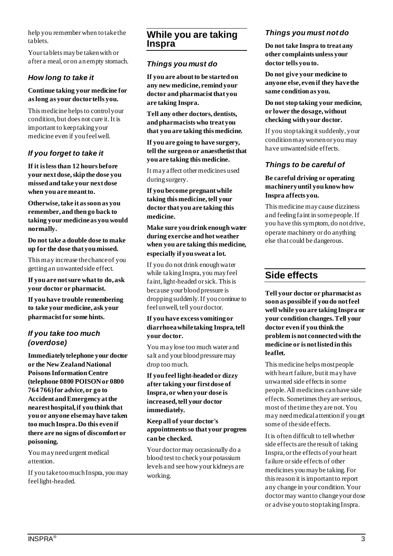help you remember when to take the tablets.

Your tablets may be taken with or after a meal, or on an empty stomach.

## *How long to take it*

### **Continue taking your medicine for as long as your doctor tells you.**

This medicine helps to control your condition, but does not cure it. It is important to keep taking your medicine even if you feel well.

## *If you forget to take it*

**If it is less than 12 hours before your next dose, skip the dose you missed and take your next dose when you are meant to.**

**Otherwise, take it as soon as you remember, and then go back to taking your medicine as you would normally.**

**Do not take a double dose to make up for the dose that you missed.**

This may increase the chance of you getting an unwanted side effect.

**If you are not sure what to do, ask your doctor or pharmacist.**

**If you have trouble remembering to take your medicine, ask your pharmacist for some hints.**

## *If you take too much (overdose)*

**Immediately telephone your doctor or the New Zealand National Poisons Information Centre (telephone 0800 POISON or 0800 764 766) for advice, or go to Accident and Emergency at the nearest hospital, if you think that you or anyone else may have taken too much Inspra. Do this even if there are no signs of discomfort or poisoning.**

You may need urgent medical attention.

If you take too much Inspra, you may feel light-headed.

## **While you are taking Inspra**

## *Things you must do*

**If you are about to be started on any new medicine, remind your doctor and pharmacist that you are taking Inspra.**

**Tell any other doctors, dentists, and pharmacists who treat you that you are taking this medicine.**

**If you are going to have surgery, tell the surgeon or anaesthetist that you are taking this medicine.**

It may affect other medicines used during surgery.

**If you become pregnant while taking this medicine, tell your doctor that you are taking this medicine.**

**Make sure you drink enough water during exercise and hot weather when you are taking this medicine, especially if you sweat a lot.**

If you do not drink enough water while taking Inspra, you may feel faint, light-headed or sick. This is because your blood pressure is dropping suddenly. If you continue to feel unwell, tell your doctor.

### **If you have excess vomiting or diarrhoea while taking Inspra, tell your doctor.**

You may lose too much water and salt and your blood pressure may drop too much.

**If you feel light-headed or dizzy after taking your first dose of Inspra, or when your dose is increased, tell your doctor immediately.**

### **Keep all of your doctor's appointments so that your progress can be checked.**

Your doctor may occasionally do a blood test to check your potassium levels and see how your kidneys are working.

## *Things you must not do*

**Do not take Inspra to treat any other complaints unless your doctor tells you to.**

**Do not give your medicine to anyone else, even if they have the same condition as you.**

**Do not stop taking your medicine, or lower the dosage, without checking with your doctor.**

If you stop taking it suddenly, your condition may worsen or you may have unwanted side effects.

## *Things to be careful of*

### **Be careful driving or operating machinery until you know how Inspra affects you.**

This medicine may cause dizziness and feeling faint in some people. If you have this symptom, do not drive, operate machinery or do anything else that could be dangerous.

# **Side effects**

**Tell your doctor or pharmacist as soon as possible if you do not feel well while you are taking Inspra or your condition changes. Tell your doctor even if you think the problem is not connected with the medicine or is not listed in this leaflet.**

This medicine helps most people with heart failure, but it may have unwanted side effects in some people. All medicines can have side effects. Sometimes they are serious, most of the time they are not. You may need medical attention if you get some of the side effects.

It is often difficult to tell whether side effects are the result of taking Inspra, or the effects of your heart failure or side effects of other medicines you may be taking. For this reason it is important to report any change in your condition. Your doctor may want to change your dose or advise you to stop taking Inspra.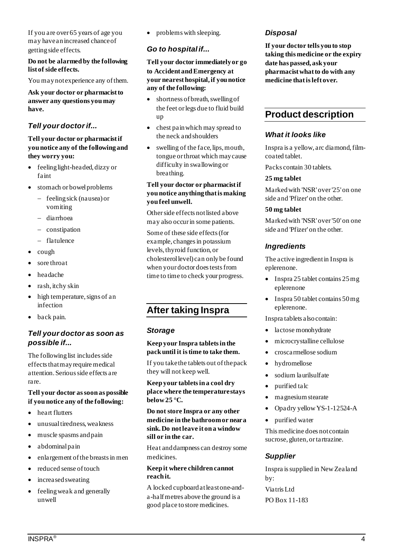If you are over 65 years of age you may have an increased chance of getting side effects.

#### **Do not be alarmed by the following list of side effects.**

You may not experience any of them.

**Ask your doctor or pharmacist to answer any questions you may have.**

## *Tell your doctor if...*

### **Tell your doctor or pharmacist if you notice any of the following and they worry you:**

- feeling light-headed, dizzy or faint
- stomach or bowel problems
	- − feeling sick (nausea) or vomiting
	- − diarrhoea
	- − constipation
	- − flatulence
- cough
- sore throat
- headache
- rash, itchy skin
- high temperature, signs of an infection
- back pain.

## *Tell your doctor as soon as possible if...*

The following list includes side effects that may require medical attention. Serious side effects are rare.

### **Tell your doctor as soon as possible if you notice any of the following:**

- heart flutters
- unusual tiredness, weakness
- muscle spasms and pain
- abdominal pain
- enlargement of the breasts in men
- reduced sense of touch
- increased sweating
- feeling weak and generally unwell

• problems with sleeping.

## *Go to hospital if...*

**Tell your doctor immediately or go to Accident and Emergency at your nearest hospital, if you notice any of the following:**

- shortness of breath, swelling of the feet or legs due to fluid build up
- chest pain which may spread to the neck and shoulders
- swelling of the face, lips, mouth, tongue or throat which may cause difficulty in swallowing or breathing.

### **Tell your doctor or pharmacist if you notice anything that is making you feel unwell.**

Other side effects not listed above may also occur in some patients.

Some of these side effects (for example, changes in potassium levels, thyroid function, or cholesterol level) can only be found when your doctor does tests from time to time to check your progress.

# **After taking Inspra**

## *Storage*

### **Keep your Inspra tablets in the pack until it is time to take them.**

If you take the tablets out of the pack they will not keep well.

**Keep your tablets in a cool dry place where the temperature stays below 25 °C.**

**Do not store Inspra or any other medicine in the bathroom or near a sink. Do not leave it on a window sill or in the car.**

Heat and dampness can destroy some medicines.

### **Keep it where children cannot reach it.**

A locked cupboard at least one-anda-half metres above the ground is a good place to store medicines.

## *Disposal*

**If your doctor tells you to stop taking this medicine or the expiry date has passed, ask your pharmacist what to do with any medicine that is left over.**

## **Product description**

### *What it looks like*

Inspra is a yellow, arc diamond, filmcoated tablet.

Packs contain 30 tablets.

#### **25 mg tablet**

Marked with 'NSR' over '25' on one side and 'Pfizer' on the other.

### **50 mg tablet**

Marked with 'NSR' over '50' on one side and 'Pfizer' on the other.

## *Ingredients*

The active ingredient in Inspra is eplerenone.

- Inspra 25 tablet contains  $25 \text{ mg}$ eplerenone
- Inspra 50 tablet contains 50 mg eplerenone.

Inspra tablets also contain:

- lactose monohydrate
- microcrystalline cellulose
- croscarmellose sodium
- hydromellose
- sodium laurilsulfate
- purified talc
- ma gnesium stearate
- Opadry yellow YS-1-12524-A
- purified water

This medicine does not contain sucrose, gluten, or tartrazine.

## *Supplier*

Inspra is supplied in New Zealand by: Viatris Ltd PO Box 11-183